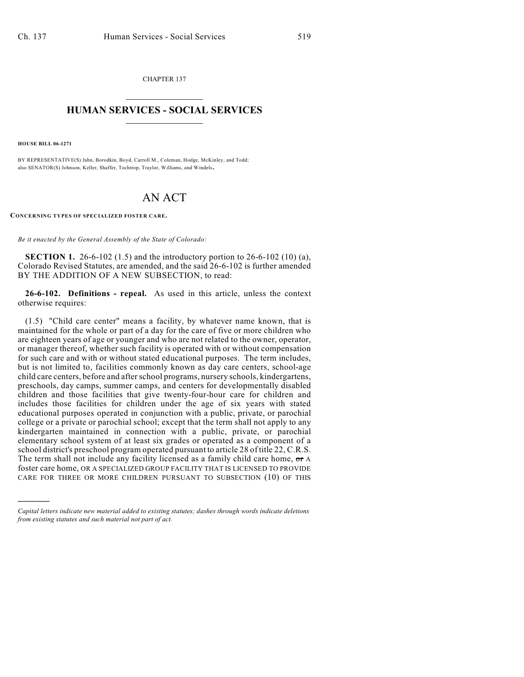CHAPTER 137  $\overline{\phantom{a}}$  . The set of the set of the set of the set of the set of the set of the set of the set of the set of the set of the set of the set of the set of the set of the set of the set of the set of the set of the set o

## **HUMAN SERVICES - SOCIAL SERVICES**  $\frac{1}{2}$  ,  $\frac{1}{2}$  ,  $\frac{1}{2}$  ,  $\frac{1}{2}$  ,  $\frac{1}{2}$  ,  $\frac{1}{2}$  ,  $\frac{1}{2}$

**HOUSE BILL 06-1271**

)))))

BY REPRESENTATIVE(S) Jahn, Borodkin, Boyd, Carroll M., Coleman, Hodge, McKinley, and Todd; also SENATOR(S) Johnson, Keller, Shaffer, Tochtrop, Traylor, Williams, and Windels.

## AN ACT

**CONCERNING TYPES OF SPECIALIZED FOSTER CARE.** 

*Be it enacted by the General Assembly of the State of Colorado:*

**SECTION 1.** 26-6-102 (1.5) and the introductory portion to 26-6-102 (10) (a), Colorado Revised Statutes, are amended, and the said 26-6-102 is further amended BY THE ADDITION OF A NEW SUBSECTION, to read:

**26-6-102. Definitions - repeal.** As used in this article, unless the context otherwise requires:

(1.5) "Child care center" means a facility, by whatever name known, that is maintained for the whole or part of a day for the care of five or more children who are eighteen years of age or younger and who are not related to the owner, operator, or manager thereof, whether such facility is operated with or without compensation for such care and with or without stated educational purposes. The term includes, but is not limited to, facilities commonly known as day care centers, school-age child care centers, before and after school programs, nursery schools, kindergartens, preschools, day camps, summer camps, and centers for developmentally disabled children and those facilities that give twenty-four-hour care for children and includes those facilities for children under the age of six years with stated educational purposes operated in conjunction with a public, private, or parochial college or a private or parochial school; except that the term shall not apply to any kindergarten maintained in connection with a public, private, or parochial elementary school system of at least six grades or operated as a component of a school district's preschool program operated pursuant to article 28 of title 22, C.R.S. The term shall not include any facility licensed as a family child care home,  $\sigma$  a foster care home, OR A SPECIALIZED GROUP FACILITY THAT IS LICENSED TO PROVIDE CARE FOR THREE OR MORE CHILDREN PURSUANT TO SUBSECTION (10) OF THIS

*Capital letters indicate new material added to existing statutes; dashes through words indicate deletions from existing statutes and such material not part of act.*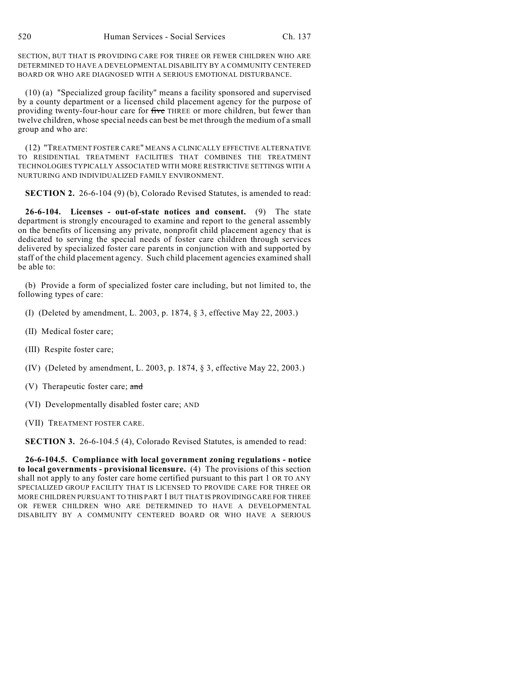SECTION, BUT THAT IS PROVIDING CARE FOR THREE OR FEWER CHILDREN WHO ARE DETERMINED TO HAVE A DEVELOPMENTAL DISABILITY BY A COMMUNITY CENTERED BOARD OR WHO ARE DIAGNOSED WITH A SERIOUS EMOTIONAL DISTURBANCE.

(10) (a) "Specialized group facility" means a facility sponsored and supervised by a county department or a licensed child placement agency for the purpose of providing twenty-four-hour care for five THREE or more children, but fewer than twelve children, whose special needs can best be met through the medium of a small group and who are:

(12) "TREATMENT FOSTER CARE" MEANS A CLINICALLY EFFECTIVE ALTERNATIVE TO RESIDENTIAL TREATMENT FACILITIES THAT COMBINES THE TREATMENT TECHNOLOGIES TYPICALLY ASSOCIATED WITH MORE RESTRICTIVE SETTINGS WITH A NURTURING AND INDIVIDUALIZED FAMILY ENVIRONMENT.

**SECTION 2.** 26-6-104 (9) (b), Colorado Revised Statutes, is amended to read:

**26-6-104. Licenses - out-of-state notices and consent.** (9) The state department is strongly encouraged to examine and report to the general assembly on the benefits of licensing any private, nonprofit child placement agency that is dedicated to serving the special needs of foster care children through services delivered by specialized foster care parents in conjunction with and supported by staff of the child placement agency. Such child placement agencies examined shall be able to:

(b) Provide a form of specialized foster care including, but not limited to, the following types of care:

- (I) (Deleted by amendment, L. 2003, p. 1874, § 3, effective May 22, 2003.)
- (II) Medical foster care;
- (III) Respite foster care;
- (IV) (Deleted by amendment, L. 2003, p. 1874, § 3, effective May 22, 2003.)
- (V) Therapeutic foster care; and
- (VI) Developmentally disabled foster care; AND
- (VII) TREATMENT FOSTER CARE.

**SECTION 3.** 26-6-104.5 (4), Colorado Revised Statutes, is amended to read:

**26-6-104.5. Compliance with local government zoning regulations - notice to local governments - provisional licensure.** (4) The provisions of this section shall not apply to any foster care home certified pursuant to this part 1 OR TO ANY SPECIALIZED GROUP FACILITY THAT IS LICENSED TO PROVIDE CARE FOR THREE OR MORE CHILDREN PURSUANT TO THIS PART 1 BUT THAT IS PROVIDING CARE FOR THREE OR FEWER CHILDREN WHO ARE DETERMINED TO HAVE A DEVELOPMENTAL DISABILITY BY A COMMUNITY CENTERED BOARD OR WHO HAVE A SERIOUS